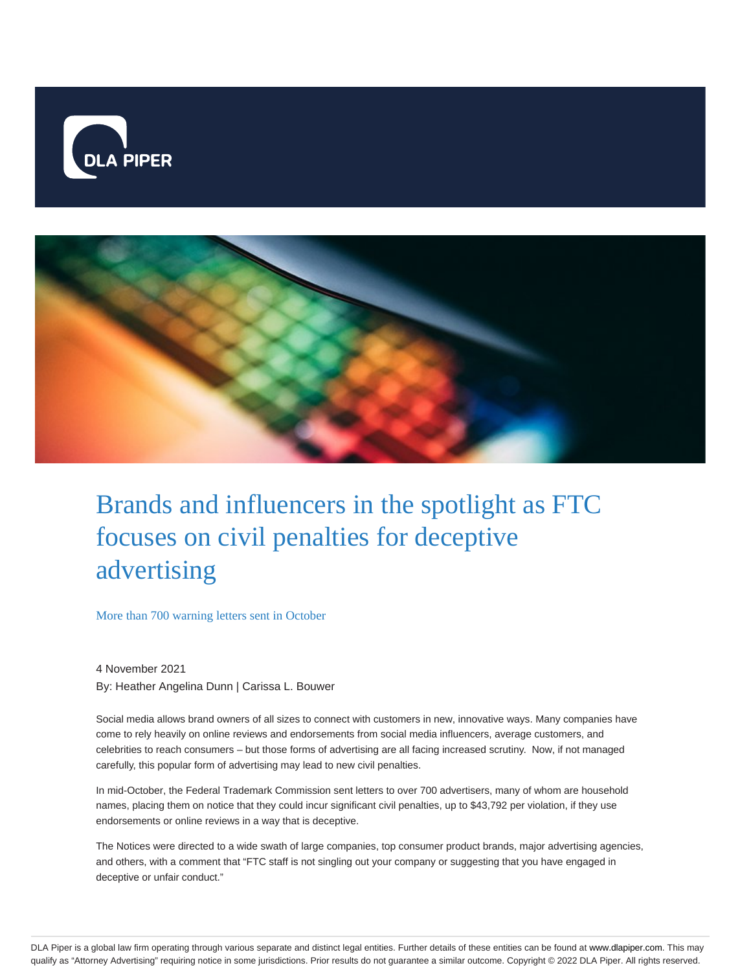



# Brands and influencers in the spotlight as FTC focuses on civil penalties for deceptive advertising

More than 700 warning letters sent in October

4 November 2021 By: Heather Angelina Dunn | Carissa L. Bouwer

Social media allows brand owners of all sizes to connect with customers in new, innovative ways. Many companies have come to rely heavily on online reviews and endorsements from social media influencers, average customers, and celebrities to reach consumers – but those forms of advertising are all facing increased scrutiny. Now, if not managed carefully, this popular form of advertising may lead to new civil penalties.

In mid-October, the Federal Trademark Commission sent letters to over 700 advertisers, many of whom are household names, placing them on notice that they could incur significant civil penalties, up to \$43,792 per violation, if they use endorsements or online reviews in a way that is deceptive.

The Notices were directed to a wide swath of large companies, top consumer product brands, major advertising agencies, and others, with a comment that "FTC staff is not singling out your company or suggesting that you have engaged in deceptive or unfair conduct."

DLA Piper is a global law firm operating through various separate and distinct legal entities. Further details of these entities can be found at www.dlapiper.com. This may qualify as "Attorney Advertising" requiring notice in some jurisdictions. Prior results do not guarantee a similar outcome. Copyright @ 2022 DLA Piper. All rights reserved.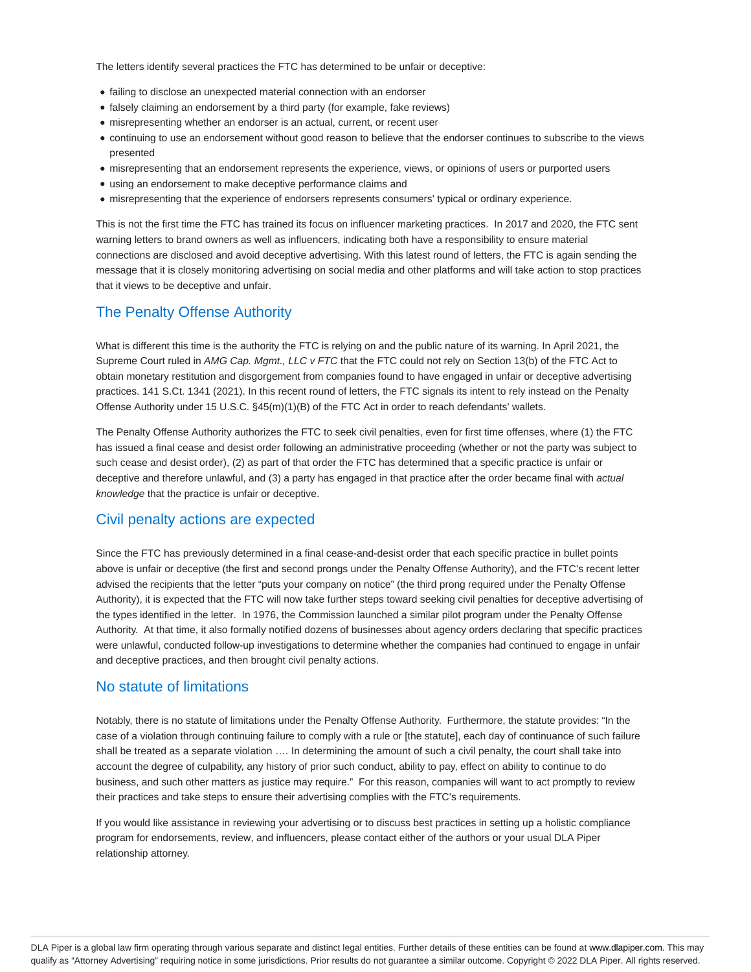The letters identify several practices the FTC has determined to be unfair or deceptive:

- failing to disclose an unexpected material connection with an endorser
- falsely claiming an endorsement by a third party (for example, fake reviews)
- misrepresenting whether an endorser is an actual, current, or recent user
- continuing to use an endorsement without good reason to believe that the endorser continues to subscribe to the views presented
- misrepresenting that an endorsement represents the experience, views, or opinions of users or purported users
- using an endorsement to make deceptive performance claims and
- misrepresenting that the experience of endorsers represents consumers' typical or ordinary experience.

This is not the first time the FTC has trained its focus on influencer marketing practices. In 2017 and 2020, the FTC sent warning letters to brand owners as well as influencers, indicating both have a responsibility to ensure material connections are disclosed and avoid deceptive advertising. With this latest round of letters, the FTC is again sending the message that it is closely monitoring advertising on social media and other platforms and will take action to stop practices that it views to be deceptive and unfair.

## The Penalty Offense Authority

What is different this time is the authority the FTC is relying on and the public nature of its warning. In April 2021, the Supreme Court ruled in AMG Cap. Mgmt., LLC v FTC that the FTC could not rely on Section 13(b) of the FTC Act to obtain monetary restitution and disgorgement from companies found to have engaged in unfair or deceptive advertising practices. 141 S.Ct. 1341 (2021). In this recent round of letters, the FTC signals its intent to rely instead on the Penalty Offense Authority under 15 U.S.C. §45(m)(1)(B) of the FTC Act in order to reach defendants' wallets.

The Penalty Offense Authority authorizes the FTC to seek civil penalties, even for first time offenses, where (1) the FTC has issued a final cease and desist order following an administrative proceeding (whether or not the party was subject to such cease and desist order), (2) as part of that order the FTC has determined that a specific practice is unfair or deceptive and therefore unlawful, and (3) a party has engaged in that practice after the order became final with actual knowledge that the practice is unfair or deceptive.

### Civil penalty actions are expected

Since the FTC has previously determined in a final cease-and-desist order that each specific practice in bullet points above is unfair or deceptive (the first and second prongs under the Penalty Offense Authority), and the FTC's recent letter advised the recipients that the letter "puts your company on notice" (the third prong required under the Penalty Offense Authority), it is expected that the FTC will now take further steps toward seeking civil penalties for deceptive advertising of the types identified in the letter. In 1976, the Commission launched a similar pilot program under the Penalty Offense Authority. At that time, it also formally notified dozens of businesses about agency orders declaring that specific practices were unlawful, conducted follow-up investigations to determine whether the companies had continued to engage in unfair and deceptive practices, and then brought civil penalty actions.

### No statute of limitations

Notably, there is no statute of limitations under the Penalty Offense Authority. Furthermore, the statute provides: "In the case of a violation through continuing failure to comply with a rule or [the statute], each day of continuance of such failure shall be treated as a separate violation …. In determining the amount of such a civil penalty, the court shall take into account the degree of culpability, any history of prior such conduct, ability to pay, effect on ability to continue to do business, and such other matters as justice may require." For this reason, companies will want to act promptly to review their practices and take steps to ensure their advertising complies with the FTC's requirements.

If you would like assistance in reviewing your advertising or to discuss best practices in setting up a holistic compliance program for endorsements, review, and influencers, please contact either of the authors or your usual DLA Piper relationship attorney.